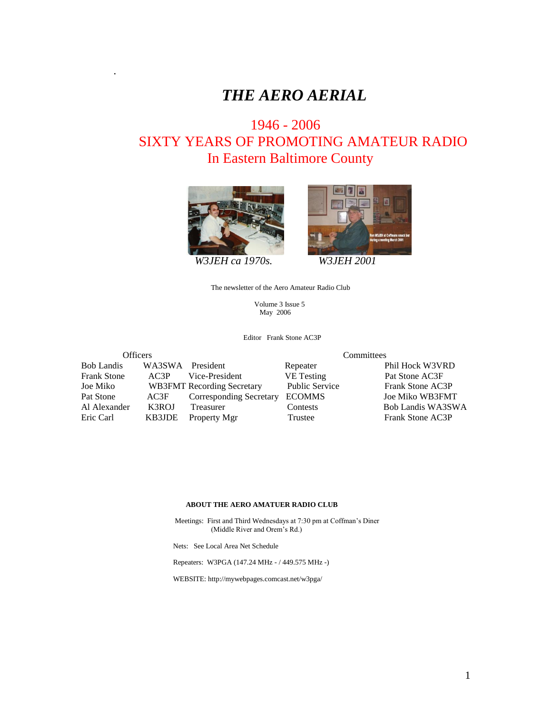# *THE AERO AERIAL*

# 1946 - 2006 SIXTY YEARS OF PROMOTING AMATEUR RADIO In Eastern Baltimore County



.





The newsletter of the Aero Amateur Radio Club

 Volume 3 Issue 5 May 2006

Editor Frank Stone AC3P

| <b>Officers</b>    |                  | Committees                        |                       |                        |  |
|--------------------|------------------|-----------------------------------|-----------------------|------------------------|--|
| <b>Bob Landis</b>  | WA3SWA President |                                   | Repeater              | Phil Hock W3VRD        |  |
| <b>Frank Stone</b> | AC3P             | Vice-President                    | <b>VE</b> Testing     | Pat Stone AC3F         |  |
| Joe Miko           |                  | <b>WB3FMT</b> Recording Secretary | <b>Public Service</b> | Frank Stone AC3P       |  |
| Pat Stone          | AC3F             | <b>Corresponding Secretary</b>    | <b>ECOMMS</b>         | <b>Joe Miko WB3FMT</b> |  |
| Al Alexander       | K3ROJ            | Treasurer                         | Contests              | Bob Landis WA3SWA      |  |
| Eric Carl          | KB3JDE           | Property Mgr                      | Trustee               | Frank Stone AC3P       |  |

#### **ABOUT THE AERO AMATUER RADIO CLUB**

 Meetings: First and Third Wednesdays at 7:30 pm at Coffman's Diner (Middle River and Orem's Rd.)

Nets: See Local Area Net Schedule

Repeaters: W3PGA (147.24 MHz - / 449.575 MHz -)

WEBSITE: http://mywebpages.comcast.net/w3pga/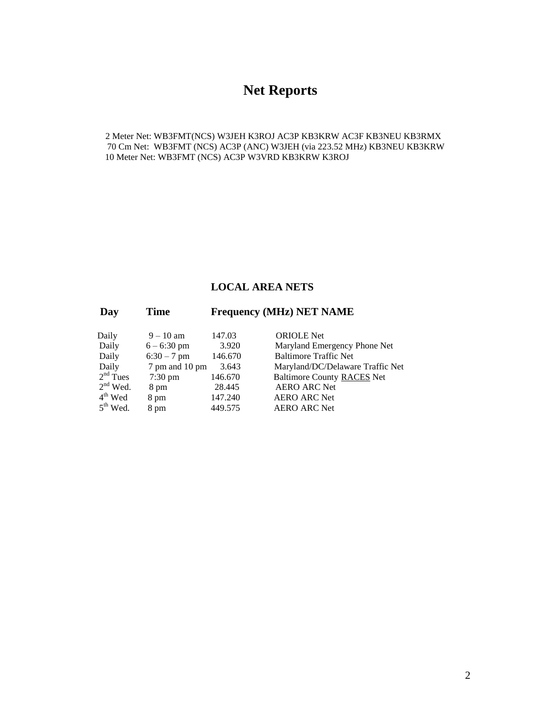## **Net Reports**

2 Meter Net: WB3FMT(NCS) W3JEH K3ROJ AC3P KB3KRW AC3F KB3NEU KB3RMX 70 Cm Net: WB3FMT (NCS) AC3P (ANC) W3JEH (via 223.52 MHz) KB3NEU KB3KRW 10 Meter Net: WB3FMT (NCS) AC3P W3VRD KB3KRW K3ROJ

#### **LOCAL AREA NETS**

#### **Day Time Frequency (MHz) NET NAME**

| Daily      | $9 - 10$ am    | 147.03  | <b>ORIOLE</b> Net        |
|------------|----------------|---------|--------------------------|
| Daily      | $6 - 6:30$ pm  | 3.920   | Maryland Emerg           |
| Daily      | $6:30 - 7$ pm  | 146.670 | <b>Baltimore Traffic</b> |
| Daily      | 7 pm and 10 pm | 3.643   | Maryland/DC/De           |
| $2nd$ Tues | $7:30$ pm      | 146.670 | <b>Baltimore County</b>  |
| $2nd$ Wed. | 8 pm           | 28.445  | <b>AERO ARC Net</b>      |
| $4th$ Wed  | 8 pm           | 147.240 | <b>AERO ARC Net</b>      |
| $5th$ Wed. | 8 pm           | 449.575 | <b>AERO ARC Net</b>      |

Maryland Emergency Phone Net Baltimore Traffic Net Maryland/DC/Delaware Traffic Net Baltimore County RACES Net AERO ARC Net AERO ARC Net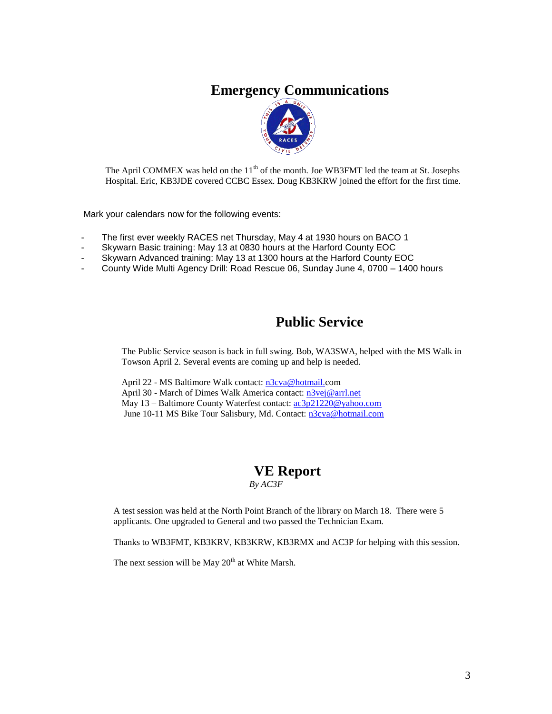## **Emergency Communications**



The April COMMEX was held on the 11<sup>th</sup> of the month. Joe WB3FMT led the team at St. Josephs Hospital. Eric, KB3JDE covered CCBC Essex. Doug KB3KRW joined the effort for the first time.

Mark your calendars now for the following events:

- The first ever weekly RACES net Thursday, May 4 at 1930 hours on BACO 1
- Skywarn Basic training: May 13 at 0830 hours at the Harford County EOC
- Skywarn Advanced training: May 13 at 1300 hours at the Harford County EOC
- County Wide Multi Agency Drill: Road Rescue 06, Sunday June 4, 0700 1400 hours

### **Public Service**

The Public Service season is back in full swing. Bob, WA3SWA, helped with the MS Walk in Towson April 2. Several events are coming up and help is needed.

April 22 - MS Baltimore Walk contact: [n3cva@hotmail.c](mailto:n3cva@hotmail.)om April 30 - March of Dimes Walk America contact: [n3vej@arrl.net](mailto:n3vej@arrl.net) May 13 – Baltimore County Waterfest contact: [ac3p21220@yahoo.com](mailto:ac3p21220@yahoo.com) June 10-11 MS Bike Tour Salisbury, Md. Contact: [n3cva@hotmail.com](mailto:n3cva@hotmail.com)

#### **VE Report**  *By AC3F*

A test session was held at the North Point Branch of the library on March 18. There were 5 applicants. One upgraded to General and two passed the Technician Exam.

Thanks to WB3FMT, KB3KRV, KB3KRW, KB3RMX and AC3P for helping with this session.

The next session will be May  $20<sup>th</sup>$  at White Marsh.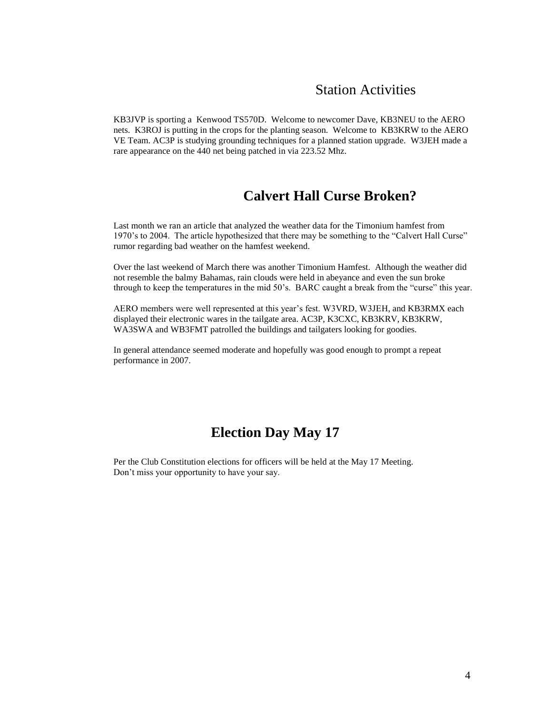### Station Activities

KB3JVP is sporting a Kenwood TS570D. Welcome to newcomer Dave, KB3NEU to the AERO nets. K3ROJ is putting in the crops for the planting season. Welcome to KB3KRW to the AERO VE Team. AC3P is studying grounding techniques for a planned station upgrade. W3JEH made a rare appearance on the 440 net being patched in via 223.52 Mhz.

## **Calvert Hall Curse Broken?**

Last month we ran an article that analyzed the weather data for the Timonium hamfest from 1970's to 2004. The article hypothesized that there may be something to the "Calvert Hall Curse" rumor regarding bad weather on the hamfest weekend.

Over the last weekend of March there was another Timonium Hamfest. Although the weather did not resemble the balmy Bahamas, rain clouds were held in abeyance and even the sun broke through to keep the temperatures in the mid 50's. BARC caught a break from the "curse" this year.

AERO members were well represented at this year's fest. W3VRD, W3JEH, and KB3RMX each displayed their electronic wares in the tailgate area. AC3P, K3CXC, KB3KRV, KB3KRW, WA3SWA and WB3FMT patrolled the buildings and tailgaters looking for goodies.

In general attendance seemed moderate and hopefully was good enough to prompt a repeat performance in 2007.

### **Election Day May 17**

Per the Club Constitution elections for officers will be held at the May 17 Meeting. Don't miss your opportunity to have your say.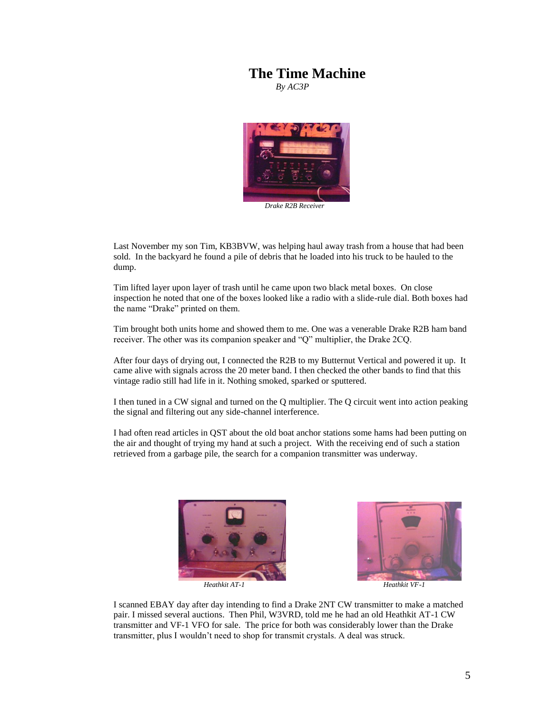#### **The Time Machine**

*By AC3P*



Last November my son Tim, KB3BVW, was helping haul away trash from a house that had been sold. In the backyard he found a pile of debris that he loaded into his truck to be hauled to the dump.

Tim lifted layer upon layer of trash until he came upon two black metal boxes. On close inspection he noted that one of the boxes looked like a radio with a slide-rule dial. Both boxes had the name "Drake" printed on them.

Tim brought both units home and showed them to me. One was a venerable Drake R2B ham band receiver. The other was its companion speaker and "Q" multiplier, the Drake 2CQ.

After four days of drying out, I connected the R2B to my Butternut Vertical and powered it up. It came alive with signals across the 20 meter band. I then checked the other bands to find that this vintage radio still had life in it. Nothing smoked, sparked or sputtered.

I then tuned in a CW signal and turned on the Q multiplier. The Q circuit went into action peaking the signal and filtering out any side-channel interference.

I had often read articles in QST about the old boat anchor stations some hams had been putting on the air and thought of trying my hand at such a project. With the receiving end of such a station retrieved from a garbage pile, the search for a companion transmitter was underway.







I scanned EBAY day after day intending to find a Drake 2NT CW transmitter to make a matched pair. I missed several auctions. Then Phil, W3VRD, told me he had an old Heathkit AT-1 CW transmitter and VF-1 VFO for sale. The price for both was considerably lower than the Drake transmitter, plus I wouldn't need to shop for transmit crystals. A deal was struck.

 $\overline{\phantom{a}}$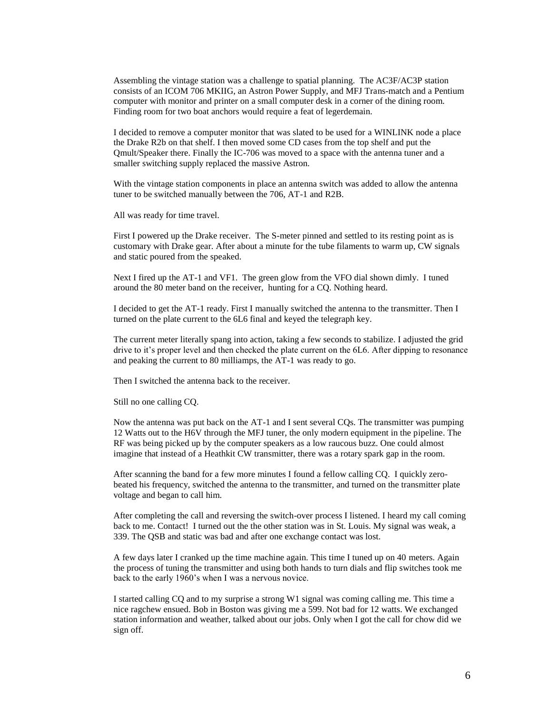Assembling the vintage station was a challenge to spatial planning. The AC3F/AC3P station consists of an ICOM 706 MKIIG, an Astron Power Supply, and MFJ Trans-match and a Pentium computer with monitor and printer on a small computer desk in a corner of the dining room. Finding room for two boat anchors would require a feat of legerdemain.

I decided to remove a computer monitor that was slated to be used for a WINLINK node a place the Drake R2b on that shelf. I then moved some CD cases from the top shelf and put the Qmult/Speaker there. Finally the IC-706 was moved to a space with the antenna tuner and a smaller switching supply replaced the massive Astron.

With the vintage station components in place an antenna switch was added to allow the antenna tuner to be switched manually between the 706, AT-1 and R2B.

All was ready for time travel.

First I powered up the Drake receiver. The S-meter pinned and settled to its resting point as is customary with Drake gear. After about a minute for the tube filaments to warm up, CW signals and static poured from the speaked.

Next I fired up the AT-1 and VF1. The green glow from the VFO dial shown dimly. I tuned around the 80 meter band on the receiver, hunting for a CQ. Nothing heard.

I decided to get the AT-1 ready. First I manually switched the antenna to the transmitter. Then I turned on the plate current to the 6L6 final and keyed the telegraph key.

The current meter literally spang into action, taking a few seconds to stabilize. I adjusted the grid drive to it's proper level and then checked the plate current on the 6L6. After dipping to resonance and peaking the current to 80 milliamps, the AT-1 was ready to go.

Then I switched the antenna back to the receiver.

Still no one calling CQ.

Now the antenna was put back on the AT-1 and I sent several CQs. The transmitter was pumping 12 Watts out to the H6V through the MFJ tuner, the only modern equipment in the pipeline. The RF was being picked up by the computer speakers as a low raucous buzz. One could almost imagine that instead of a Heathkit CW transmitter, there was a rotary spark gap in the room.

After scanning the band for a few more minutes I found a fellow calling CQ. I quickly zerobeated his frequency, switched the antenna to the transmitter, and turned on the transmitter plate voltage and began to call him.

After completing the call and reversing the switch-over process I listened. I heard my call coming back to me. Contact! I turned out the the other station was in St. Louis. My signal was weak, a 339. The QSB and static was bad and after one exchange contact was lost.

A few days later I cranked up the time machine again. This time I tuned up on 40 meters. Again the process of tuning the transmitter and using both hands to turn dials and flip switches took me back to the early 1960's when I was a nervous novice.

I started calling CQ and to my surprise a strong W1 signal was coming calling me. This time a nice ragchew ensued. Bob in Boston was giving me a 599. Not bad for 12 watts. We exchanged station information and weather, talked about our jobs. Only when I got the call for chow did we sign off.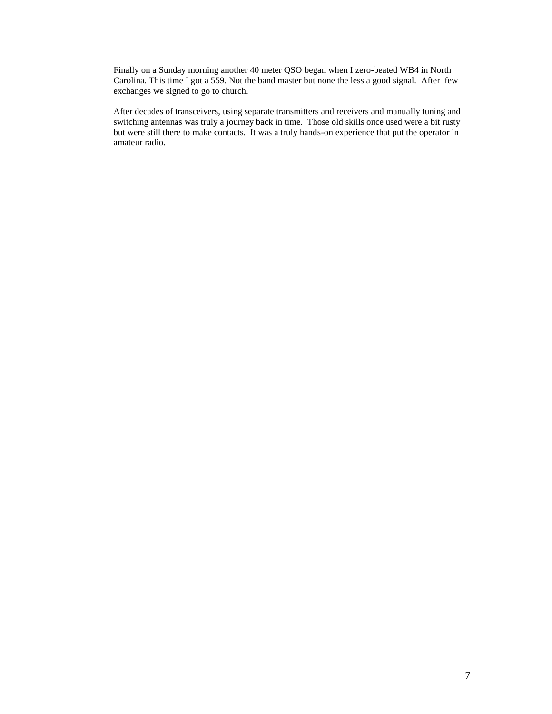Finally on a Sunday morning another 40 meter QSO began when I zero-beated WB4 in North Carolina. This time I got a 559. Not the band master but none the less a good signal. After few exchanges we signed to go to church.

After decades of transceivers, using separate transmitters and receivers and manually tuning and switching antennas was truly a journey back in time. Those old skills once used were a bit rusty but were still there to make contacts. It was a truly hands-on experience that put the operator in amateur radio.